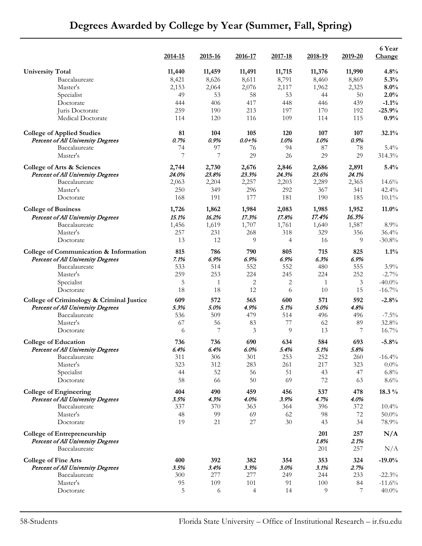|                                                           | 2014-15   | 2015-16      | <u>2016-17</u> | 2017-18               | 2018-19      | 2019-20  | 6 Year<br>Change  |
|-----------------------------------------------------------|-----------|--------------|----------------|-----------------------|--------------|----------|-------------------|
| <b>University Total</b>                                   | 11,440    | 11,459       | 11,491         | 11,715                | 11,376       | 11,990   | 4.8%              |
| Baccalaureate                                             | 8,421     | 8,626        | 8,611          | 8,791                 | 8,460        | 8,869    | 5.3%              |
| Master's                                                  | 2,153     | 2,064        | 2,076          | 2,117                 | 1,962        | 2,325    | 8.0%              |
| Specialist                                                | 49        | 53           | 58             | 53                    | 44           | 50       | 2.0%              |
| Doctorate                                                 | 444       | 406          | 417            | 448                   | 446          | 439      | $-1.1%$           |
| Juris Doctorate                                           | 259       | 190          | 213            | 197                   | 170          | 192      | $-25.9%$          |
| Medical Doctorate                                         | 114       | 120          | 116            | 109                   | 114          | 115      | 0.9%              |
| <b>College of Applied Studies</b>                         | 81        | 104          | 105            | 120                   | 107          | 107      | 32.1%             |
| <b>Percent of All University Degrees</b>                  | 0.7%      | 0.9%         | $0.0 + \%$     | 1.0%                  | 1.0%         | 0.9%     |                   |
| Baccalaureate                                             | 74        | 97           | 76             | 94                    | $87\,$       | 78       | $5.4\%$           |
| Master's                                                  | 7         | 7            | 29             | 26                    | 29           | 29       | 314.3%            |
| College of Arts & Sciences                                | 2,744     | 2,730        | 2,676          | 2,846                 | 2,686        | 2,891    | 5.4%              |
| <b>Percent of All University Degrees</b>                  | 24.0%     | 23.8%        | 23.3%          | 24.3%                 | 23.6%        | 24.1%    |                   |
| Baccalaureate                                             | 2,063     | 2,204        | 2,257          | 2,203                 | 2,289        | 2,365    | 14.6%             |
| Master's                                                  | 250       | 349          | 296            | 292                   | 367          | 341      | 42.4%             |
| Doctorate                                                 | 168       | 191          | 177            | 181                   | 190          | 185      | $10.1\%$          |
| <b>College of Business</b>                                | 1,726     | 1,862        | 1,984          | 2,083                 | 1,985        | 1,952    | $11.0\%$          |
| <b>Percent of All University Degrees</b><br>Baccalaureate | 15.1%     | 16.2%        | 17.3%          | 17.8%                 | 17.4%        | 16.3%    |                   |
|                                                           | 1,456     | 1,619        | 1,707          | 1,761                 | 1,640        | 1,587    | 8.9%              |
| Master's<br>Doctorate                                     | 257<br>13 | 231<br>12    | 268<br>9       | 318<br>$\overline{4}$ | 329<br>16    | 356<br>9 | 36.4%<br>$-30.8%$ |
| College of Communication & Information                    | 815       | 786          | 790            | 805                   | 715          | 825      | $1.1\%$           |
| Percent of All University Degrees                         | 7.1%      | 6.9%         | 6.9%           | 6.9%                  | 6.3%         | 6.9%     |                   |
| Baccalaureate                                             | 533       | 514          | 552            | 552                   | 480          | 555      | $3.9\%$           |
| Master's                                                  | 259       | 253          | 224            | 245                   | 224          | 252      | $-2.7\%$          |
| Specialist                                                | 5         | $\mathbf{1}$ | 2              | 2                     | $\mathbf{1}$ | 3        | $-40.0\%$         |
| Doctorate                                                 | 18        | 18           | 12             | 6                     | 10           | 15       | $-16.7\%$         |
| College of Criminology & Criminal Justice                 | 609       | 572          | 565            | 600                   | 571          | 592      | $-2.8%$           |
| <b>Percent of All University Degrees</b>                  | 5.3%      | 5.0%         | 4.9%           | 5.1%                  | 5.0%         | 4.8%     |                   |
| Baccalaureate                                             | 536       | 509          | 479            | 514                   | 496          | 496      | $-7.5%$           |
| Master's                                                  | 67        | 56           | 83             | 77                    | 62           | 89       | 32.8%             |
| Doctorate                                                 | 6         | 7            | 3              | 9                     | 13           | 7        | 16.7%             |
| <b>College of Education</b>                               | 736       | 736          | 690            | 634                   | 584          | 693      | $-5.8%$           |
| <b>Percent of All University Degrees</b>                  | 6.4%      | 6.4%         | 6.0%           | 5.4%                  | 5.1%         | 5.8%     |                   |
| Baccalaureate                                             | 311       | 306          | 301            | 253                   | 252          | 260      | $-16.4%$          |
| Master's                                                  | 323       | 312          | 283            | 261                   | 217          | 323      | $0.0\%$           |
| Specialist                                                | 44        | 52           | 56             | 51                    | 43           | 47       | 6.8%              |
| Doctorate                                                 | 58        | 66           | 50             | 69                    | 72           | 63       | $8.6\%$           |
| <b>College of Engineering</b>                             | 404       | 490          | 459            | 456                   | 537          | 478      | 18.3 %            |
| <b>Percent of All University Degrees</b>                  | 3.5%      | 4.3%         | 4.0%           | 3.9%                  | 4.7%         | 4.0%     |                   |
| Baccalaureate                                             | 337       | 370          | 363            | 364                   | 396          | 372      | $10.4\%$          |
| $\operatorname{Master}'\boldsymbol{s}$                    | 48        | 99           | 69             | 62                    | 98           | 72       | $50.0\%$          |
| Doctorate                                                 | 19        | 21           | 27             | 30                    | 43           | 34       | 78.9%             |
| <b>College of Entrepreneurship</b>                        |           |              |                |                       | 201          | 257      | N/A               |
| <b>Percent of All University Degrees</b>                  |           |              |                |                       | 1.8%         | 2.1%     |                   |
| Baccalaureate                                             |           |              |                |                       | 201          | 257      | N/A               |
| <b>College of Fine Arts</b>                               | 400       | 392          | 382            | 354                   | 353          | 324      | $-19.0%$          |
| <b>Percent of All University Degrees</b>                  | 3.5%      | 3.4%         | 3.3%           | 3.0%                  | 3.1%         | 2.7%     |                   |
| Baccalaureate                                             | 300       | 277          | 277            | 249                   | 244          | 233      | $-22.3%$          |
| Master's                                                  | 95        | 109          | 101            | 91                    | 100          | 84       | $-11.6%$          |
| Doctorate                                                 | 5         | 6            | 4              | 14                    | 9            | 7        | $40.0\%$          |